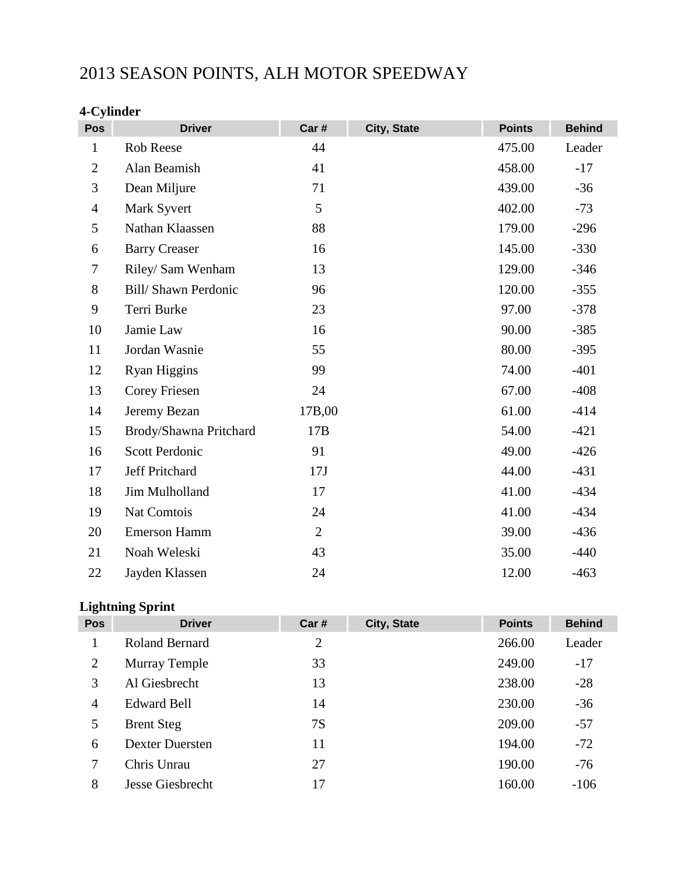# 2013 SEASON POINTS, ALH MOTOR SPEEDWAY

### **4-Cylinder**

| Pos            | <b>Driver</b>              | Car#           | City, State | <b>Points</b> | <b>Behind</b> |
|----------------|----------------------------|----------------|-------------|---------------|---------------|
| $\mathbf{1}$   | Rob Reese                  | 44             |             | 475.00        | Leader        |
| $\overline{2}$ | Alan Beamish               | 41             |             | 458.00        | $-17$         |
| 3              | Dean Miljure               | 71             |             | 439.00        | $-36$         |
| $\overline{4}$ | Mark Syvert                | 5              |             | 402.00        | $-73$         |
| 5              | Nathan Klaassen            | 88             |             | 179.00        | $-296$        |
| 6              | <b>Barry Creaser</b>       | 16             |             | 145.00        | $-330$        |
| 7              | Riley/ Sam Wenham          | 13             |             | 129.00        | $-346$        |
| 8              | <b>Bill/Shawn Perdonic</b> | 96             |             | 120.00        | $-355$        |
| 9              | Terri Burke                | 23             |             | 97.00         | $-378$        |
| 10             | Jamie Law                  | 16             |             | 90.00         | $-385$        |
| 11             | Jordan Wasnie              | 55             |             | 80.00         | $-395$        |
| 12             | Ryan Higgins               | 99             |             | 74.00         | $-401$        |
| 13             | Corey Friesen              | 24             |             | 67.00         | $-408$        |
| 14             | Jeremy Bezan               | 17B,00         |             | 61.00         | $-414$        |
| 15             | Brody/Shawna Pritchard     | 17B            |             | 54.00         | $-421$        |
| 16             | <b>Scott Perdonic</b>      | 91             |             | 49.00         | $-426$        |
| 17             | Jeff Pritchard             | 17J            |             | 44.00         | $-431$        |
| 18             | Jim Mulholland             | 17             |             | 41.00         | $-434$        |
| 19             | Nat Comtois                | 24             |             | 41.00         | $-434$        |
| 20             | Emerson Hamm               | $\overline{2}$ |             | 39.00         | $-436$        |
| 21             | Noah Weleski               | 43             |             | 35.00         | $-440$        |
| 22             | Jayden Klassen             | 24             |             | 12.00         | $-463$        |

### **Lightning Sprint**

| Pos            | <b>Driver</b>          | Car#           | City, State | <b>Points</b> | <b>Behind</b> |
|----------------|------------------------|----------------|-------------|---------------|---------------|
| 1              | Roland Bernard         | $\overline{2}$ |             | 266.00        | Leader        |
| $\overline{2}$ | <b>Murray Temple</b>   | 33             |             | 249.00        | $-17$         |
| 3              | Al Giesbrecht          | 13             |             | 238.00        | $-28$         |
| $\overline{4}$ | <b>Edward Bell</b>     | 14             |             | 230.00        | $-36$         |
| 5              | <b>Brent Steg</b>      | 7S             |             | 209.00        | $-57$         |
| 6              | <b>Dexter Duersten</b> | 11             |             | 194.00        | $-72$         |
| 7              | Chris Unrau            | 27             |             | 190.00        | $-76$         |
| 8              | Jesse Giesbrecht       | 17             |             | 160.00        | $-106$        |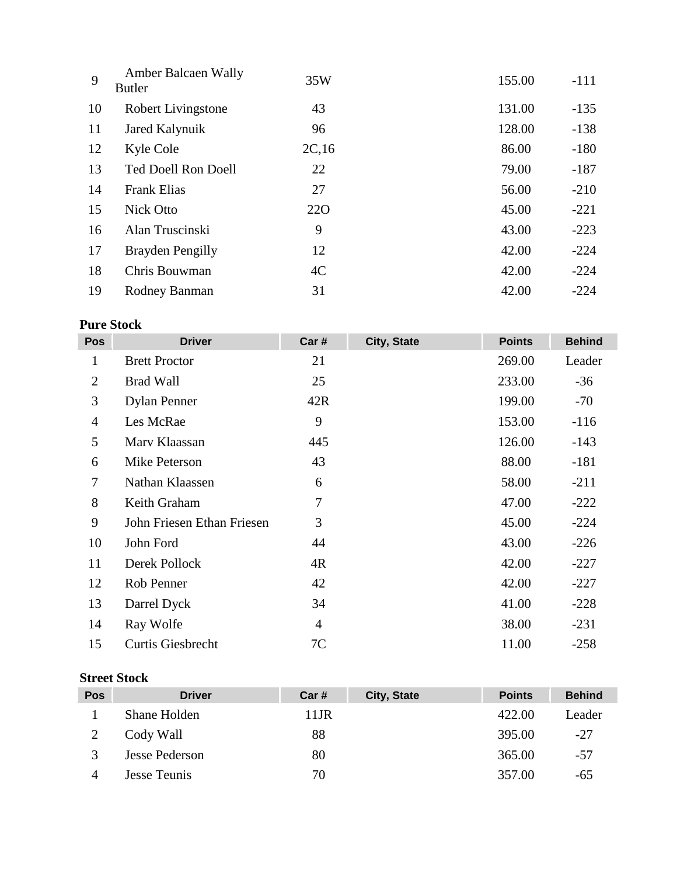| 9  | Amber Balcaen Wally<br><b>Butler</b> | 35W        | 155.00 | $-111$ |
|----|--------------------------------------|------------|--------|--------|
| 10 | Robert Livingstone                   | 43         | 131.00 | $-135$ |
| 11 | Jared Kalynuik                       | 96         | 128.00 | $-138$ |
| 12 | Kyle Cole                            | 2C,16      | 86.00  | $-180$ |
| 13 | <b>Ted Doell Ron Doell</b>           | 22         | 79.00  | $-187$ |
| 14 | <b>Frank Elias</b>                   | 27         | 56.00  | $-210$ |
| 15 | Nick Otto                            | <b>220</b> | 45.00  | $-221$ |
| 16 | Alan Truscinski                      | 9          | 43.00  | $-223$ |
| 17 | Brayden Pengilly                     | 12         | 42.00  | $-224$ |
| 18 | Chris Bouwman                        | 4C         | 42.00  | $-224$ |
| 19 | Rodney Banman                        | 31         | 42.00  | $-224$ |

### **Pure Stock**

| <b>Pos</b>     | <b>Driver</b>              | Car #          | City, State | <b>Points</b> | <b>Behind</b> |
|----------------|----------------------------|----------------|-------------|---------------|---------------|
| 1              | <b>Brett Proctor</b>       | 21             |             | 269.00        | Leader        |
| 2              | <b>Brad Wall</b>           | 25             |             | 233.00        | $-36$         |
| 3              | <b>Dylan Penner</b>        | 42R            |             | 199.00        | $-70$         |
| $\overline{4}$ | Les McRae                  | 9              |             | 153.00        | $-116$        |
| 5              | Mary Klaassan              | 445            |             | 126.00        | $-143$        |
| 6              | Mike Peterson              | 43             |             | 88.00         | $-181$        |
| $\overline{7}$ | Nathan Klaassen            | 6              |             | 58.00         | $-211$        |
| 8              | Keith Graham               | 7              |             | 47.00         | $-222$        |
| 9              | John Friesen Ethan Friesen | 3              |             | 45.00         | $-224$        |
| 10             | John Ford                  | 44             |             | 43.00         | $-226$        |
| 11             | Derek Pollock              | 4R             |             | 42.00         | $-227$        |
| 12             | Rob Penner                 | 42             |             | 42.00         | $-227$        |
| 13             | Darrel Dyck                | 34             |             | 41.00         | $-228$        |
| 14             | Ray Wolfe                  | $\overline{4}$ |             | 38.00         | $-231$        |
| 15             | <b>Curtis Giesbrecht</b>   | 7C             |             | 11.00         | $-258$        |

#### **Street Stock**

| <b>Pos</b> | <b>Driver</b>  | Car# | City, State | <b>Points</b> | <b>Behind</b> |
|------------|----------------|------|-------------|---------------|---------------|
|            | Shane Holden   | 11JR |             | 422.00        | Leader        |
|            | Cody Wall      | 88   |             | 395.00        | -27           |
|            | Jesse Pederson | 80   |             | 365.00        | -57           |
|            | Jesse Teunis   | 70   |             | 357.00        | -65           |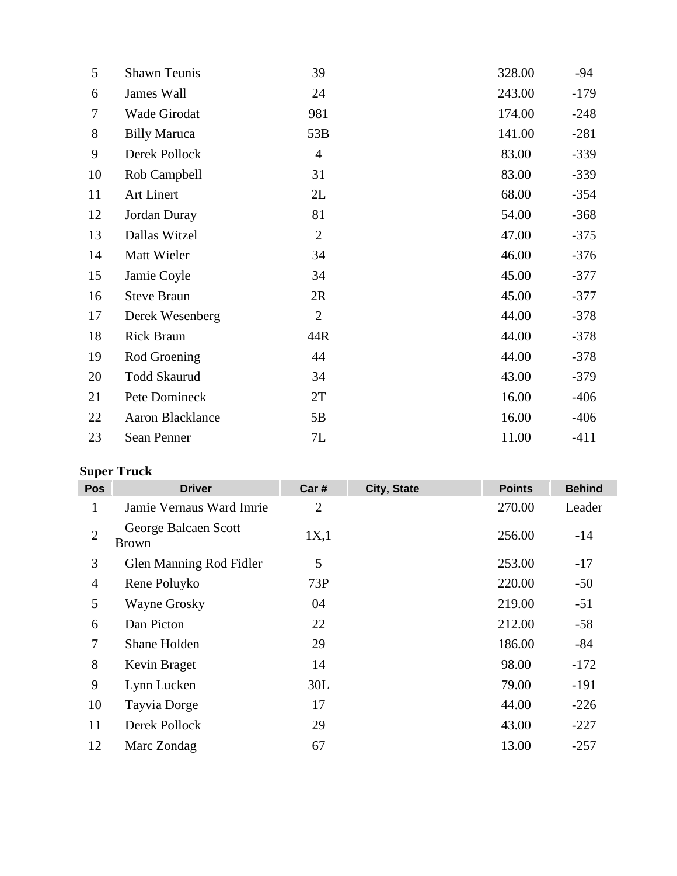| 5  | <b>Shawn Teunis</b>     | 39             | 328.00 | $-94$  |
|----|-------------------------|----------------|--------|--------|
| 6  | James Wall              | 24             | 243.00 | $-179$ |
| 7  | Wade Girodat            | 981            | 174.00 | $-248$ |
| 8  | <b>Billy Maruca</b>     | 53B            | 141.00 | $-281$ |
| 9  | Derek Pollock           | $\overline{4}$ | 83.00  | $-339$ |
| 10 | Rob Campbell            | 31             | 83.00  | $-339$ |
| 11 | Art Linert              | 2L             | 68.00  | $-354$ |
| 12 | Jordan Duray            | 81             | 54.00  | $-368$ |
| 13 | Dallas Witzel           | $\overline{2}$ | 47.00  | $-375$ |
| 14 | Matt Wieler             | 34             | 46.00  | $-376$ |
| 15 | Jamie Coyle             | 34             | 45.00  | $-377$ |
| 16 | <b>Steve Braun</b>      | 2R             | 45.00  | $-377$ |
| 17 | Derek Wesenberg         | $\overline{2}$ | 44.00  | $-378$ |
| 18 | <b>Rick Braun</b>       | 44R            | 44.00  | $-378$ |
| 19 | Rod Groening            | 44             | 44.00  | $-378$ |
| 20 | <b>Todd Skaurud</b>     | 34             | 43.00  | $-379$ |
| 21 | Pete Domineck           | 2T             | 16.00  | $-406$ |
| 22 | <b>Aaron Blacklance</b> | 5B             | 16.00  | $-406$ |
| 23 | Sean Penner             | 7L             | 11.00  | $-411$ |

## **Super Truck**

| Pos            | <b>Driver</b>                        | Car #          | City, State | <b>Points</b> | <b>Behind</b> |
|----------------|--------------------------------------|----------------|-------------|---------------|---------------|
| 1              | Jamie Vernaus Ward Imrie             | $\overline{2}$ |             | 270.00        | Leader        |
| $\overline{2}$ | George Balcaen Scott<br><b>Brown</b> | 1X,1           |             | 256.00        | $-14$         |
| 3              | Glen Manning Rod Fidler              | 5              |             | 253.00        | $-17$         |
| $\overline{4}$ | Rene Poluyko                         | 73P            |             | 220.00        | $-50$         |
| 5              | Wayne Grosky                         | 04             |             | 219.00        | $-51$         |
| 6              | Dan Picton                           | 22             |             | 212.00        | $-58$         |
| $\overline{7}$ | Shane Holden                         | 29             |             | 186.00        | $-84$         |
| 8              | Kevin Braget                         | 14             |             | 98.00         | $-172$        |
| 9              | Lynn Lucken                          | 30L            |             | 79.00         | $-191$        |
| 10             | Tayvia Dorge                         | 17             |             | 44.00         | $-226$        |
| 11             | Derek Pollock                        | 29             |             | 43.00         | $-227$        |
| 12             | Marc Zondag                          | 67             |             | 13.00         | $-257$        |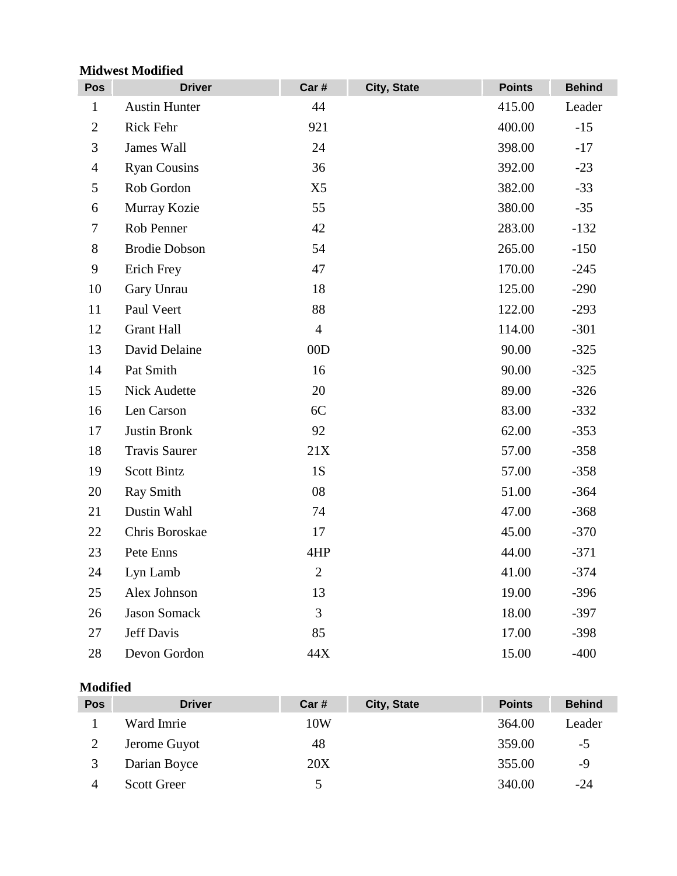### **Midwest Modified**

| Pos            | <b>Driver</b>        | Car#           | City, State | <b>Points</b> | <b>Behind</b> |
|----------------|----------------------|----------------|-------------|---------------|---------------|
| $\mathbf{1}$   | <b>Austin Hunter</b> | 44             |             | 415.00        | Leader        |
| $\overline{2}$ | Rick Fehr            | 921            |             | 400.00        | $-15$         |
| 3              | James Wall           | 24             |             | 398.00        | $-17$         |
| $\overline{4}$ | <b>Ryan Cousins</b>  | 36             |             | 392.00        | $-23$         |
| 5              | Rob Gordon           | X5             |             | 382.00        | $-33$         |
| 6              | Murray Kozie         | 55             |             | 380.00        | $-35$         |
| $\tau$         | Rob Penner           | 42             |             | 283.00        | $-132$        |
| 8              | <b>Brodie Dobson</b> | 54             |             | 265.00        | $-150$        |
| 9              | Erich Frey           | 47             |             | 170.00        | $-245$        |
| 10             | Gary Unrau           | 18             |             | 125.00        | $-290$        |
| 11             | Paul Veert           | 88             |             | 122.00        | $-293$        |
| 12             | <b>Grant Hall</b>    | $\overline{4}$ |             | 114.00        | $-301$        |
| 13             | David Delaine        | 00D            |             | 90.00         | $-325$        |
| 14             | Pat Smith            | 16             |             | 90.00         | $-325$        |
| 15             | Nick Audette         | 20             |             | 89.00         | $-326$        |
| 16             | Len Carson           | 6C             |             | 83.00         | $-332$        |
| 17             | <b>Justin Bronk</b>  | 92             |             | 62.00         | $-353$        |
| 18             | <b>Travis Saurer</b> | 21X            |             | 57.00         | $-358$        |
| 19             | <b>Scott Bintz</b>   | <b>1S</b>      |             | 57.00         | $-358$        |
| 20             | Ray Smith            | 08             |             | 51.00         | $-364$        |
| 21             | Dustin Wahl          | 74             |             | 47.00         | $-368$        |
| 22             | Chris Boroskae       | 17             |             | 45.00         | $-370$        |
| 23             | Pete Enns            | 4HP            |             | 44.00         | $-371$        |
| 24             | Lyn Lamb             | $\overline{2}$ |             | 41.00         | $-374$        |
| 25             | Alex Johnson         | 13             |             | 19.00         | $-396$        |
| 26             | <b>Jason Somack</b>  | 3              |             | 18.00         | $-397$        |
| 27             | <b>Jeff Davis</b>    | 85             |             | 17.00         | $-398$        |
| 28             | Devon Gordon         | 44X            |             | 15.00         | $-400$        |

#### **Modified**

| <b>Pos</b> | <b>Driver</b>      | Car# | City, State | <b>Points</b> | <b>Behind</b> |
|------------|--------------------|------|-------------|---------------|---------------|
|            | Ward Imrie         | 10W  |             | 364.00        | Leader        |
|            | Jerome Guyot       | 48   |             | 359.00        | $-5$          |
|            | Darian Boyce       | 20X  |             | 355.00        | -9            |
|            | <b>Scott Greer</b> |      |             | 340.00        | $-24$         |